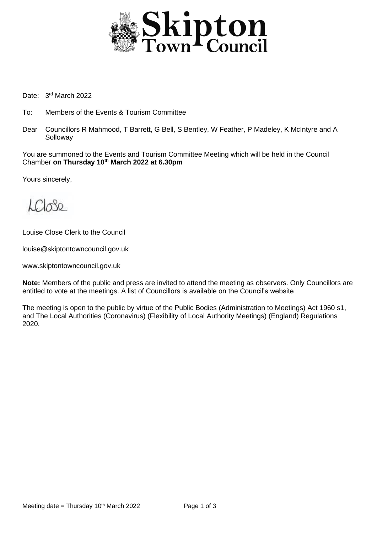

Date: 3<sup>rd</sup> March 2022

- To: Members of the Events & Tourism Committee
- Dear Councillors R Mahmood, T Barrett, G Bell, S Bentley, W Feather, P Madeley, K McIntyre and A Solloway

You are summoned to the Events and Tourism Committee Meeting which will be held in the Council Chamber **on Thursday 10th March 2022 at 6.30pm**

Yours sincerely,

 $LCR_0$ 

Louise Close Clerk to the Council

louise@skiptontowncouncil.gov.uk

www.skiptontowncouncil.gov.uk

**Note:** Members of the public and press are invited to attend the meeting as observers. Only Councillors are entitled to vote at the meetings. A list of Councillors is available on the Council's website

The meeting is open to the public by virtue of the Public Bodies (Administration to Meetings) Act 1960 s1, and The Local Authorities (Coronavirus) (Flexibility of Local Authority Meetings) (England) Regulations 2020.

j.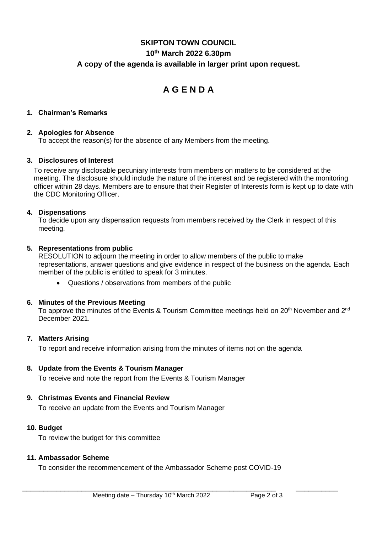# **SKIPTON TOWN COUNCIL 10th March 2022 6.30pm A copy of the agenda is available in larger print upon request.**

# **A G E N D A**

### **1. Chairman's Remarks**

#### **2. Apologies for Absence**

To accept the reason(s) for the absence of any Members from the meeting.

#### **3. Disclosures of Interest**

To receive any disclosable pecuniary interests from members on matters to be considered at the meeting. The disclosure should include the nature of the interest and be registered with the monitoring officer within 28 days. Members are to ensure that their Register of Interests form is kept up to date with the CDC Monitoring Officer.

#### **4. Dispensations**

To decide upon any dispensation requests from members received by the Clerk in respect of this meeting.

#### **5. Representations from public**

RESOLUTION to adjourn the meeting in order to allow members of the public to make representations, answer questions and give evidence in respect of the business on the agenda. Each member of the public is entitled to speak for 3 minutes.

• Questions / observations from members of the public

#### **6. Minutes of the Previous Meeting**

To approve the minutes of the Events & Tourism Committee meetings held on 20<sup>th</sup> November and 2<sup>nd</sup> December 2021.

# **7. Matters Arising**

To report and receive information arising from the minutes of items not on the agenda

#### **8. Update from the Events & Tourism Manager**

To receive and note the report from the Events & Tourism Manager

# **9. Christmas Events and Financial Review**

To receive an update from the Events and Tourism Manager

#### **10. Budget**

To review the budget for this committee

#### **11. Ambassador Scheme**

To consider the recommencement of the Ambassador Scheme post COVID-19